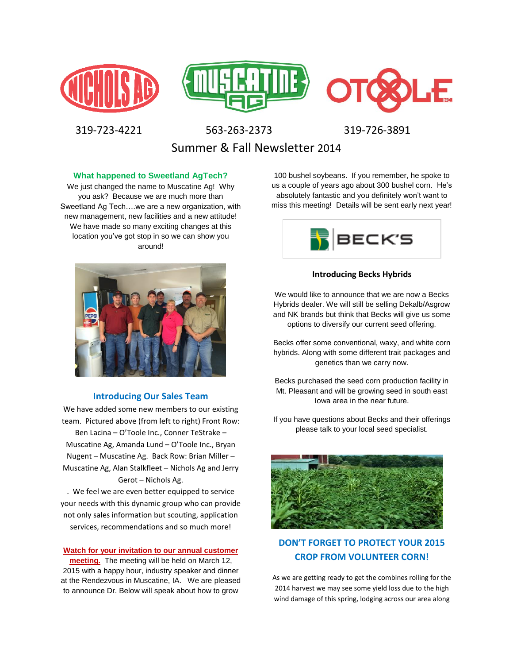





319-723-4221 563-263-2373 319-726-3891

Summer & Fall Newsletter 2014

### **What happened to Sweetland AgTech?**

We just changed the name to Muscatine Ag! Why you ask? Because we are much more than Sweetland Ag Tech….we are a new organization, with new management, new facilities and a new attitude! We have made so many exciting changes at this location you've got stop in so we can show you around!



### **Introducing Our Sales Team**

We have added some new members to our existing team. Pictured above (from left to right) Front Row: Ben Lacina – O'Toole Inc., Conner TeStrake – Muscatine Ag, Amanda Lund – O'Toole Inc., Bryan Nugent – Muscatine Ag. Back Row: Brian Miller – Muscatine Ag, Alan Stalkfleet – Nichols Ag and Jerry Gerot – Nichols Ag.

. We feel we are even better equipped to service your needs with this dynamic group who can provide not only sales information but scouting, application services, recommendations and so much more!

#### **Watch for your invitation to our annual customer**

**meeting.** The meeting will be held on March 12, 2015 with a happy hour, industry speaker and dinner at the Rendezvous in Muscatine, IA. We are pleased to announce Dr. Below will speak about how to grow

100 bushel soybeans. If you remember, he spoke to us a couple of years ago about 300 bushel corn. He's absolutely fantastic and you definitely won't want to miss this meeting! Details will be sent early next year!



### **Introducing Becks Hybrids**

We would like to announce that we are now a Becks Hybrids dealer. We will still be selling Dekalb/Asgrow and NK brands but think that Becks will give us some options to diversify our current seed offering.

Becks offer some conventional, waxy, and white corn hybrids. Along with some different trait packages and genetics than we carry now.

Becks purchased the seed corn production facility in Mt. Pleasant and will be growing seed in south east Iowa area in the near future.

If you have questions about Becks and their offerings please talk to your local seed specialist.



## **DON'T FORGET TO PROTECT YOUR 2015 CROP FROM VOLUNTEER CORN!**

As we are getting ready to get the combines rolling for the 2014 harvest we may see some yield loss due to the high wind damage of this spring, lodging across our area along